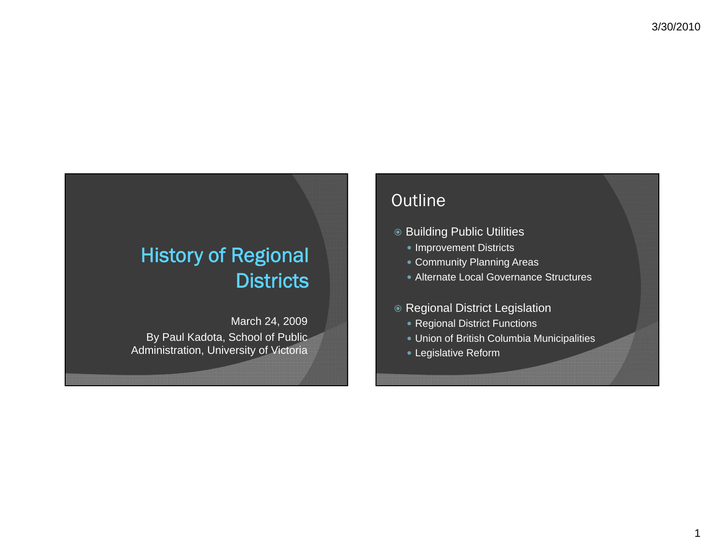# History of Regional Districts

March 24, 2009 By Paul Kadota, School of Public Administration, University of Victoria

# Outline

- Building Public Utilities
	- Improvement Districts
	- Community Planning Areas
	- Alternate Local Governance Structures
- Regional District Legislation
	- Regional District Functions
	- Union of British Columbia Municipalities
	- Legislative Reform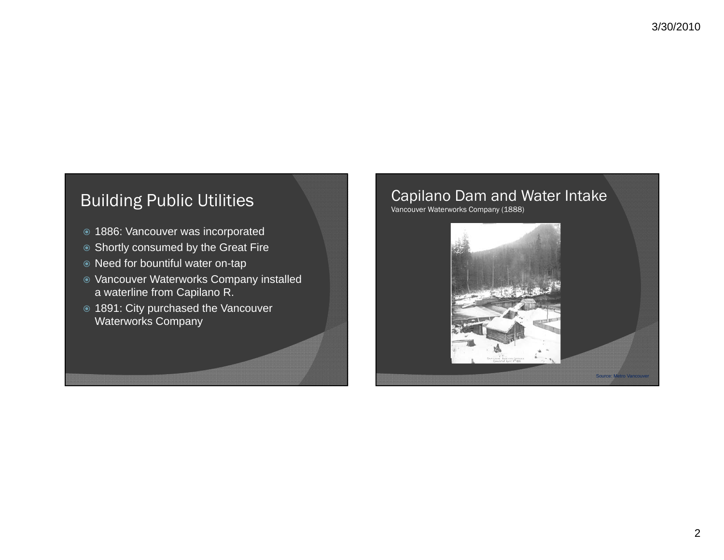# Building Public Utilities

- 1886: Vancouver was incorporated
- ◉ Shortly consumed by the Great Fire
- Need for bountiful water on-tap
- Vancouver Waterworks Company installed a waterline from Capilano R.
- 1891: City purchased the Vancouver Waterworks Company

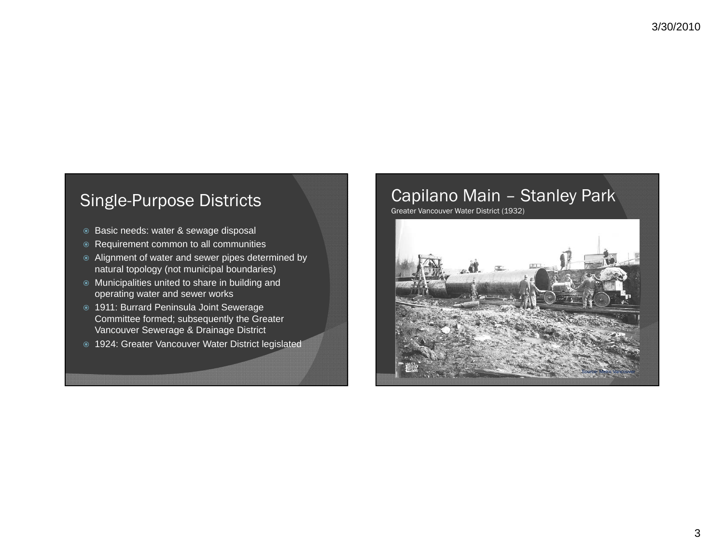# Single-Purpose Districts

- Basic needs: water & sewage disposal
- Requirement common to all communities
- Alignment of water and sewer pipes determined by natural topology (not municipal boundaries)
- Municipalities united to share in building and operating water and sewer works
- 1911: Burrard Peninsula Joint Sewerage Committee formed; subsequently the Greater Vancouver Sewerage & Drainage District
- 1924: Greater Vancouver Water District legislated

#### Capilano Main – Stanley Park Greater Vancouver Water District (1932)

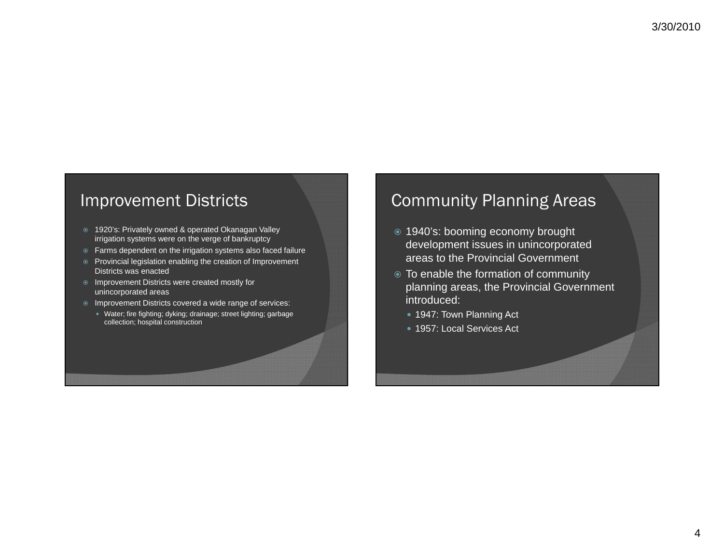#### Improvement Districts

- 1920's: Privately owned & operated Okanagan Valley irrigation systems were on the verge of bankruptcy
- Farms dependent on the irrigation systems also faced failure
- Provincial legislation enabling the creation of Improvement Districts was enacted
- **■** Improvement Districts were created mostly for unincorporated areas
- Improvement Districts covered a wide range of services:
- Water; fire fighting; dyking; drainage; street lighting; garbage collection; hospital construction

# Community Planning Areas

- 1940's: booming economy brought development issues in unincorporated areas to the Provincial Government
- To enable the formation of community planning areas, the Provincial Government introduced:
	- 1947: Town Planning Act
	- 1957: Local Services Act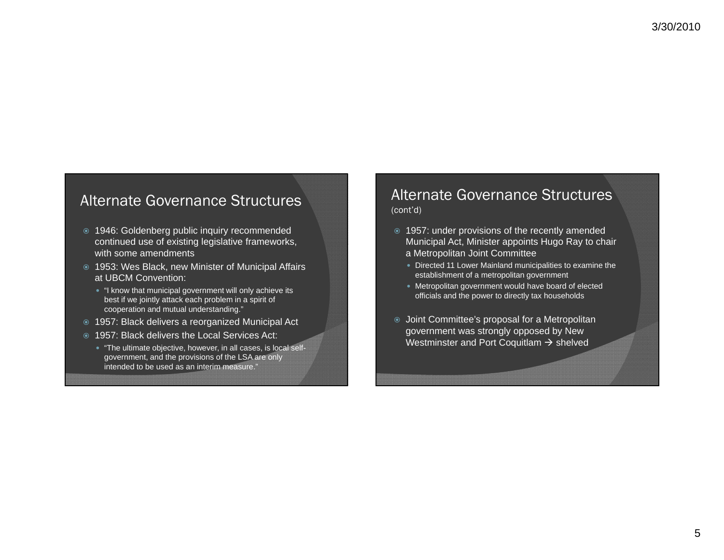#### Alternate Governance Structures

- 1946: Goldenberg public inquiry recommended continued use of existing legislative frameworks, with some amendments
- 1953: Wes Black, new Minister of Municipal Affairs at UBCM Convention:
	- "I know that municipal government will only achieve its best if we jointly attack each problem in a spirit of cooperation and mutual understanding."
- 1957: Black delivers a reorganized Municipal Act
- 1957: Black delivers the Local Services Act:
	- "The ultimate objective, however, in all cases, is local selfgovernment, and the provisions of the LSA are only intended to be used as an interim measure."

#### Alternate Governance Structures (cont'd)

- 1957: under provisions of the recently amended Municipal Act, Minister appoints Hugo Ray to chair
	- a Metropolitan Joint Committee
	- Directed 11 Lower Mainland municipalities to examine the establishment of a metropolitan government
	- Metropolitan government would have board of elected officials and the power to directly tax households
- Joint Committee's proposal for a Metropolitan government was strongly opposed by New Westminster and Port Coquitlam  $\rightarrow$  shelved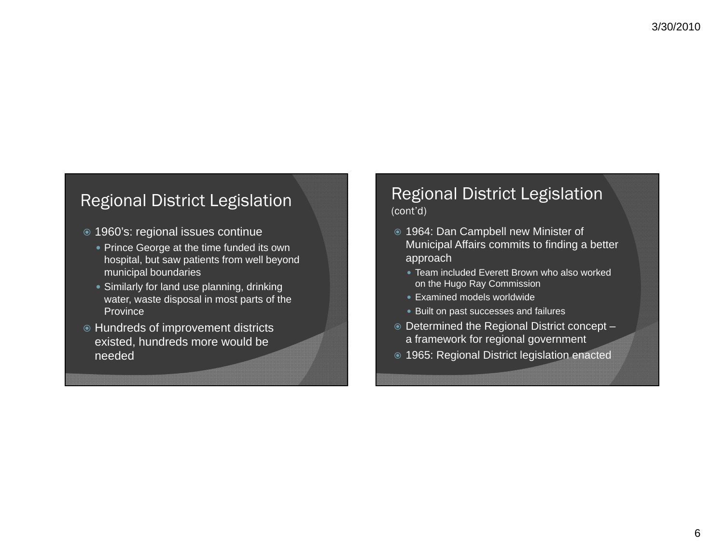## Regional District Legislation

- 1960's: regional issues continue
	- Prince George at the time funded its own hospital, but saw patients from well beyond municipal boundaries
	- Similarly for land use planning, drinking water, waste disposal in most parts of the Province
- **Hundreds of improvement districts** existed, hundreds more would be needed

#### Regional District Legislation (cont'd)

- 1964: Dan Campbell new Minister of Municipal Affairs commits to finding <sup>a</sup> better approach
	- Team included Everett Brown who also worked on the Hugo Ray Commission
	- Examined models worldwide
	- Built on past successes and failures
- Determined the Regional District concept a framework for regional government
- 1965: Regional District legislation enacted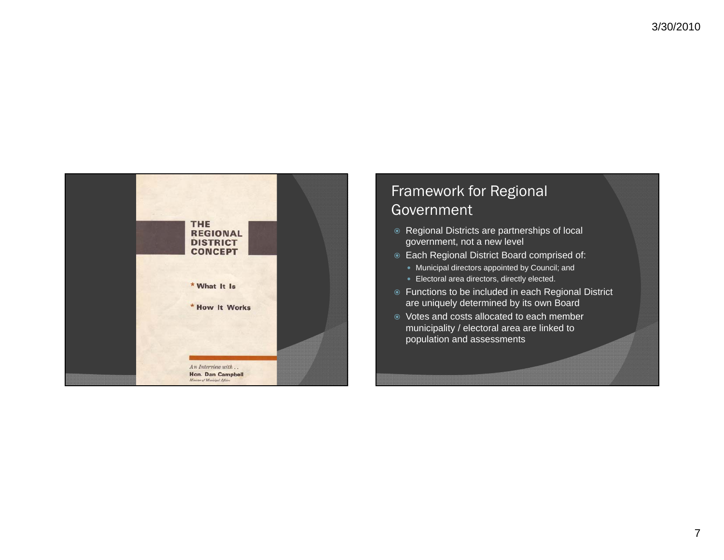

### Framework for Regional **Government**

- **Regional Districts are partnerships of local** government, not <sup>a</sup> new level
- Each Regional District Board comprised of:
	- Municipal directors appointed by Council; and
	- Electoral area directors, directly elected.
- Functions to be included in each Regional District are uniquely determined by its own Board
- Votes and costs allocated to each member municipality / electoral area are linked to population and assessments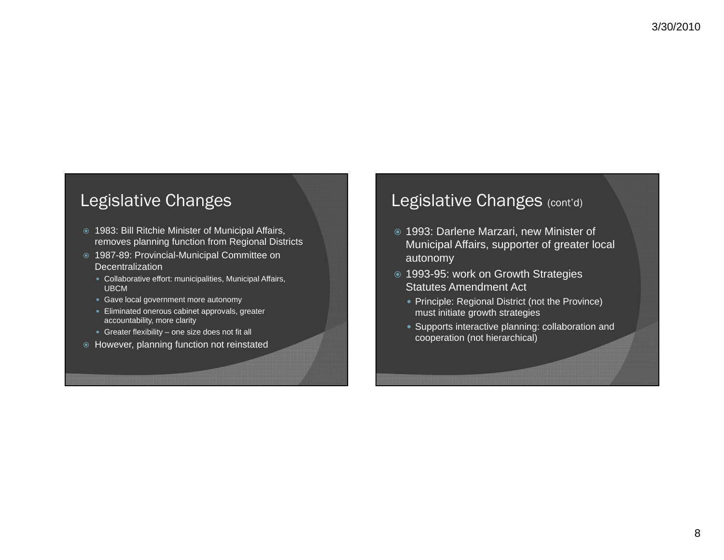### Legislative Changes

- 1983: Bill Ritchie Minister of Municipal Affairs, removes planning function from Regional Districts
- 1987-89: Provincial-Municipal Committee on Decentralization
	- Collaborative effort: municipalities, Municipal Affairs, UBCM
	- Gave local government more autonomy
	- $\bullet$  Eliminated onerous cabinet approvals, greater accountability, more clarity
	- Greater flexibility one size does not fit all
- However, planning function not reinstated

#### Legislative Changes (cont'd)

- 1993: Darlene Marzari, new Minister of Municipal Affairs, supporter of greater local autonomy
- 1993-95: work on Growth Strategies Statutes Amendment Act
	- Principle: Regional District (not the Province) must initiate growth strategies
	- Supports interactive planning: collaboration and cooperation (not hierarchical)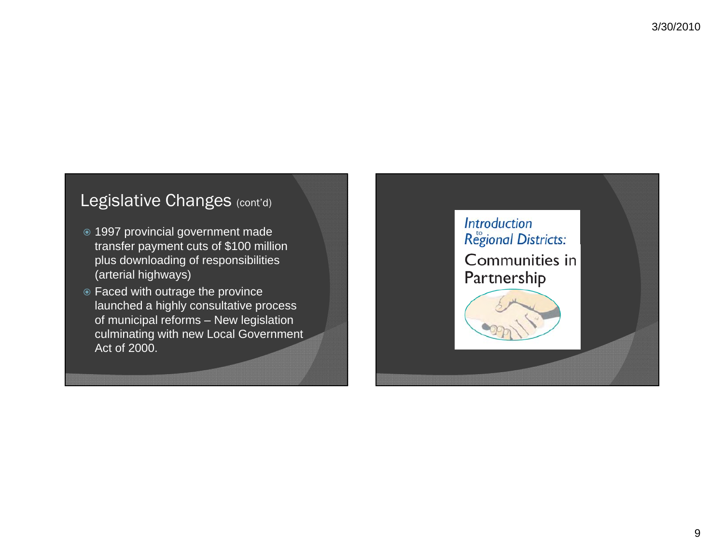# Legislative Changes (cont'd)

- 1997 provincial government made transfer payment cuts of \$100 million plus downloading of responsibilities (arterial highways)
- Faced with outrage the province launched a highly consultative process of municipal reforms – New legislation culminating with new Local Government Act of 2000.